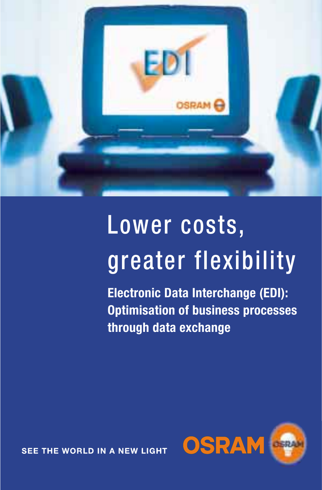

# Lower costs, greater flexibility

**Electronic Data Interchange (EDI): Optimisation of business processes through data exchange** 



SEE THE WORLD IN A NEW LIGHT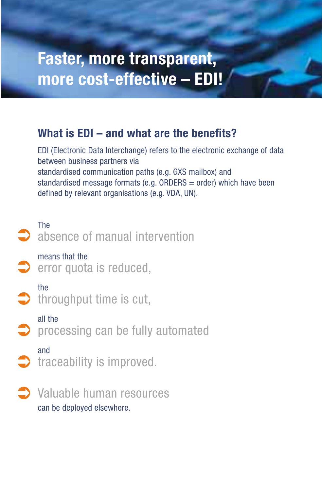### **Faster, more transparent, more cost-effective – EDI!**

### **What is EDI – and what are the benefits?**

EDI (Electronic Data Interchange) refers to the electronic exchange of data between business partners via standardised communication paths (e.g. GXS mailbox) and standardised message formats (e.g. ORDERS = order) which have been defined by relevant organisations (e.g. VDA, UN).



Valuable human resources can be deployed elsewhere. 0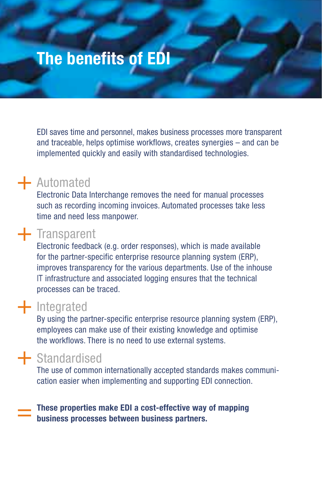### **The benefits of EDI**

EDI saves time and personnel, makes business processes more transparent and traceable, helps optimise workflows, creates synergies – and can be implemented quickly and easily with standardised technologies.

## $+$  Automated

Electronic Data Interchange removes the need for manual processes such as recording incoming invoices. Automated processes take less time and need less manpower.

## $+$  Transparent

Electronic feedback (e.g. order responses), which is made available for the partner-specific enterprise resource planning system (ERP), improves transparency for the various departments. Use of the inhouse IT infrastructure and associated logging ensures that the technical processes can be traced.

## $+$  Integrated

By using the partner-specific enterprise resource planning system (ERP), employees can make use of their existing knowledge and optimise the workflows. There is no need to use external systems.

## + Standardised

The use of common internationally accepted standards makes communication easier when implementing and supporting EDI connection.

**These properties make EDI a cost-effective way of mapping business processes between business partners.** =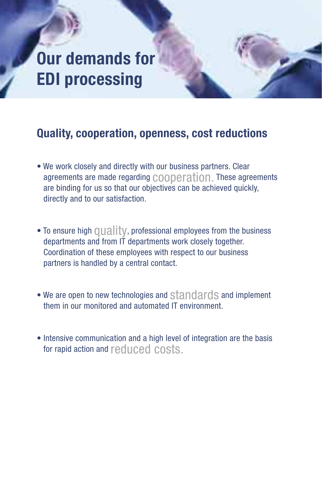### **Our demands for EDI processing**

### **Quality, cooperation, openness, cost reductions**

- We work closely and directly with our business partners. Clear agreements are made regarding cooperation. These agreements are binding for us so that our objectives can be achieved quickly, directly and to our satisfaction.
- To ensure high  $\Box \Box \Box$  TV, professional employees from the business departments and from IT departments work closely together. Coordination of these employees with respect to our business partners is handled by a central contact.
- We are open to new technologies and standards and implement them in our monitored and automated IT environment.
- Intensive communication and a high level of integration are the basis for rapid action and reduced costs.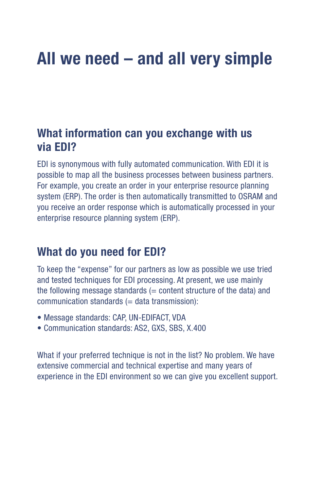### **All we need – and all very simple**

### **What information can you exchange with us via EDI?**

EDI is synonymous with fully automated communication. With EDI it is possible to map all the business processes between business partners. For example, you create an order in your enterprise resource planning system (ERP). The order is then automatically transmitted to OSRAM and you receive an order response which is automatically processed in your enterprise resource planning system (ERP).

### **What do you need for EDI?**

To keep the "expense" for our partners as low as possible we use tried and tested techniques for EDI processing. At present, we use mainly the following message standards  $(=$  content structure of the data) and  $comm$ unication standards  $(=$  data transmission):

- Message standards: CAP, UN-EDIFACT, VDA
- Communication standards: AS2, GXS, SBS, X.400

What if your preferred technique is not in the list? No problem. We have extensive commercial and technical expertise and many years of experience in the EDI environment so we can give you excellent support.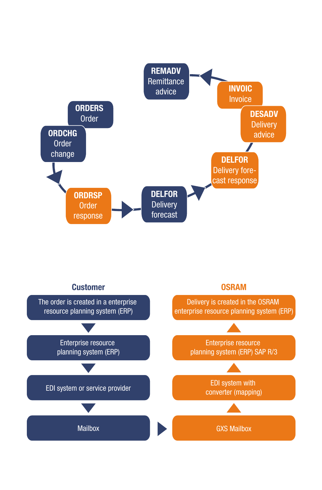

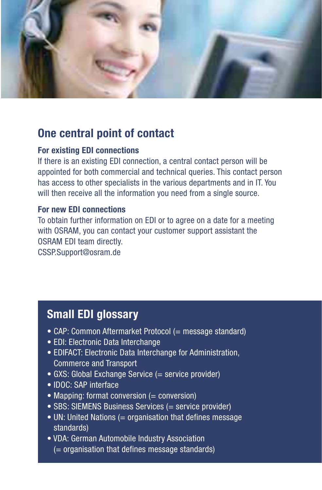

### **One central point of contact**

#### **For existing EDI connections**

If there is an existing EDI connection, a central contact person will be appointed for both commercial and technical queries. This contact person has access to other specialists in the various departments and in IT. You will then receive all the information you need from a single source.

#### **For new EDI connections**

To obtain further information on EDI or to agree on a date for a meeting with OSRAM, you can contact your customer support assistant the OSRAM EDI team directly.

CSSP.Support@osram.de

#### **Small EDI glossary**

- CAP: Common Aftermarket Protocol (= message standard)
- EDI: Electronic Data Interchange
- EDIFACT: Electronic Data Interchange for Administration, Commerce and Transport
- GXS: Global Exchange Service (= service provider)
- IDOC: SAP interface
- Mapping: format conversion (= conversion)
- SBS: SIEMENS Business Services (= service provider)
- UN: United Nations (= organisation that defines message standards)
- VDA: German Automobile Industry Association (= organisation that defines message standards)